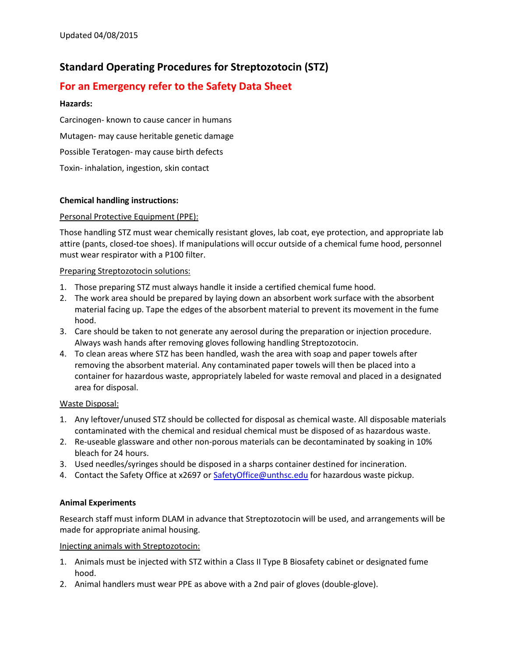# **Standard Operating Procedures for Streptozotocin (STZ)**

# **For an Emergency refer to the Safety Data Sheet**

## **Hazards:**

Carcinogen- known to cause cancer in humans Mutagen- may cause heritable genetic damage Possible Teratogen- may cause birth defects Toxin- inhalation, ingestion, skin contact

# **Chemical handling instructions:**

# Personal Protective Equipment (PPE):

Those handling STZ must wear chemically resistant gloves, lab coat, eye protection, and appropriate lab attire (pants, closed-toe shoes). If manipulations will occur outside of a chemical fume hood, personnel must wear respirator with a P100 filter.

#### Preparing Streptozotocin solutions:

- 1. Those preparing STZ must always handle it inside a certified chemical fume hood.
- 2. The work area should be prepared by laying down an absorbent work surface with the absorbent material facing up. Tape the edges of the absorbent material to prevent its movement in the fume hood.
- 3. Care should be taken to not generate any aerosol during the preparation or injection procedure. Always wash hands after removing gloves following handling Streptozotocin.
- 4. To clean areas where STZ has been handled, wash the area with soap and paper towels after removing the absorbent material. Any contaminated paper towels will then be placed into a container for hazardous waste, appropriately labeled for waste removal and placed in a designated area for disposal.

#### Waste Disposal:

- 1. Any leftover/unused STZ should be collected for disposal as chemical waste. All disposable materials contaminated with the chemical and residual chemical must be disposed of as hazardous waste.
- 2. Re-useable glassware and other non-porous materials can be decontaminated by soaking in 10% bleach for 24 hours.
- 3. Used needles/syringes should be disposed in a sharps container destined for incineration.
- 4. Contact the Safety Office at x2697 or [SafetyOffice@unthsc.edu](mailto:SafetyOffice@unthsc.edu) for hazardous waste pickup.

#### **Animal Experiments**

Research staff must inform DLAM in advance that Streptozotocin will be used, and arrangements will be made for appropriate animal housing.

#### Injecting animals with Streptozotocin:

- 1. Animals must be injected with STZ within a Class II Type B Biosafety cabinet or designated fume hood.
- 2. Animal handlers must wear PPE as above with a 2nd pair of gloves (double-glove).